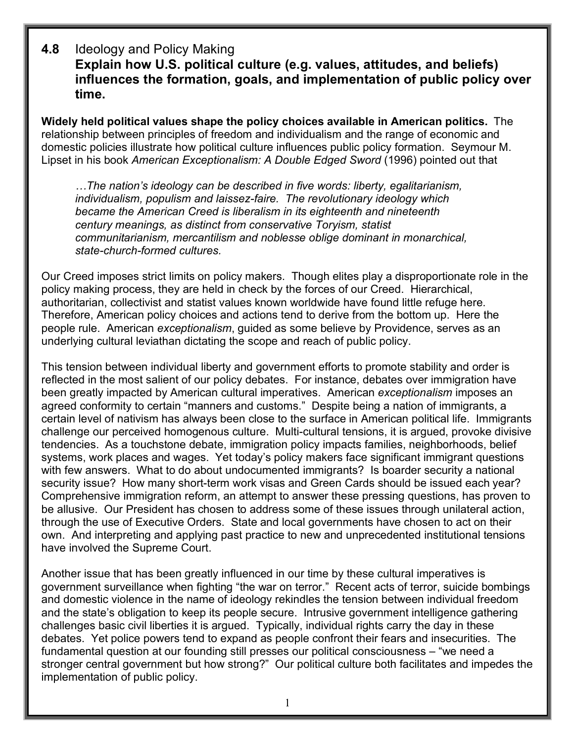## **4.8** Ideology and Policy Making **Explain how U.S. political culture (e.g. values, attitudes, and beliefs) influences the formation, goals, and implementation of public policy over time.**

**Widely held political values shape the policy choices available in American politics.** The relationship between principles of freedom and individualism and the range of economic and domestic policies illustrate how political culture influences public policy formation. Seymour M. Lipset in his book *American Exceptionalism: A Double Edged Sword* (1996) pointed out that

*…The nation's ideology can be described in five words: liberty, egalitarianism, individualism, populism and laissez-faire. The revolutionary ideology which became the American Creed is liberalism in its eighteenth and nineteenth century meanings, as distinct from conservative Toryism, statist communitarianism, mercantilism and noblesse oblige dominant in monarchical, state-church-formed cultures.*

Our Creed imposes strict limits on policy makers. Though elites play a disproportionate role in the policy making process, they are held in check by the forces of our Creed. Hierarchical, authoritarian, collectivist and statist values known worldwide have found little refuge here. Therefore, American policy choices and actions tend to derive from the bottom up. Here the people rule. American *exceptionalism*, guided as some believe by Providence, serves as an underlying cultural leviathan dictating the scope and reach of public policy.

This tension between individual liberty and government efforts to promote stability and order is reflected in the most salient of our policy debates. For instance, debates over immigration have been greatly impacted by American cultural imperatives. American *exceptionalism* imposes an agreed conformity to certain "manners and customs." Despite being a nation of immigrants, a certain level of nativism has always been close to the surface in American political life. Immigrants challenge our perceived homogenous culture. Multi-cultural tensions, it is argued, provoke divisive tendencies. As a touchstone debate, immigration policy impacts families, neighborhoods, belief systems, work places and wages. Yet today's policy makers face significant immigrant questions with few answers. What to do about undocumented immigrants? Is boarder security a national security issue? How many short-term work visas and Green Cards should be issued each year? Comprehensive immigration reform, an attempt to answer these pressing questions, has proven to be allusive. Our President has chosen to address some of these issues through unilateral action, through the use of Executive Orders. State and local governments have chosen to act on their own. And interpreting and applying past practice to new and unprecedented institutional tensions have involved the Supreme Court.

Another issue that has been greatly influenced in our time by these cultural imperatives is government surveillance when fighting "the war on terror." Recent acts of terror, suicide bombings and domestic violence in the name of ideology rekindles the tension between individual freedom and the state's obligation to keep its people secure. Intrusive government intelligence gathering challenges basic civil liberties it is argued. Typically, individual rights carry the day in these debates. Yet police powers tend to expand as people confront their fears and insecurities. The fundamental question at our founding still presses our political consciousness – "we need a stronger central government but how strong?" Our political culture both facilitates and impedes the implementation of public policy.